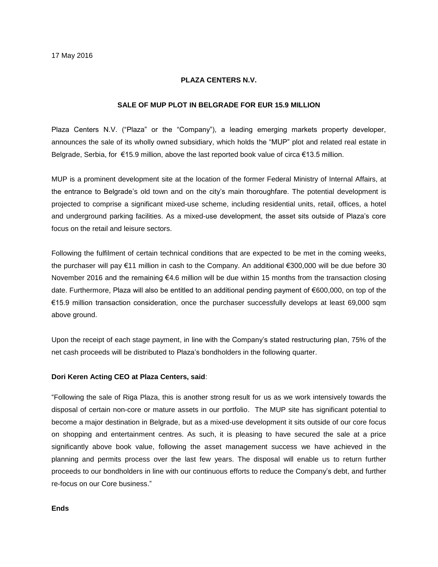### **PLAZA CENTERS N.V.**

#### **SALE OF MUP PLOT IN BELGRADE FOR EUR 15.9 MILLION**

Plaza Centers N.V. ("Plaza" or the "Company"), a leading emerging markets property developer, announces the sale of its wholly owned subsidiary, which holds the "MUP" plot and related real estate in Belgrade, Serbia, for €15.9 million, above the last reported book value of circa €13.5 million.

MUP is a prominent development site at the location of the former Federal Ministry of Internal Affairs, at the entrance to Belgrade's old town and on the city's main thoroughfare. The potential development is projected to comprise a significant mixed-use scheme, including residential units, retail, offices, a hotel and underground parking facilities. As a mixed-use development, the asset sits outside of Plaza's core focus on the retail and leisure sectors.

Following the fulfilment of certain technical conditions that are expected to be met in the coming weeks, the purchaser will pay €11 million in cash to the Company. An additional €300,000 will be due before 30 November 2016 and the remaining €4.6 million will be due within 15 months from the transaction closing date. Furthermore, Plaza will also be entitled to an additional pending payment of €600,000, on top of the €15.9 million transaction consideration, once the purchaser successfully develops at least 69,000 sqm above ground.

Upon the receipt of each stage payment, in line with the Company's stated restructuring plan, 75% of the net cash proceeds will be distributed to Plaza's bondholders in the following quarter.

#### **Dori Keren Acting CEO at Plaza Centers, said**:

"Following the sale of Riga Plaza, this is another strong result for us as we work intensively towards the disposal of certain non-core or mature assets in our portfolio. The MUP site has significant potential to become a major destination in Belgrade, but as a mixed-use development it sits outside of our core focus on shopping and entertainment centres. As such, it is pleasing to have secured the sale at a price significantly above book value, following the asset management success we have achieved in the planning and permits process over the last few years. The disposal will enable us to return further proceeds to our bondholders in line with our continuous efforts to reduce the Company's debt, and further re-focus on our Core business."

## **Ends**